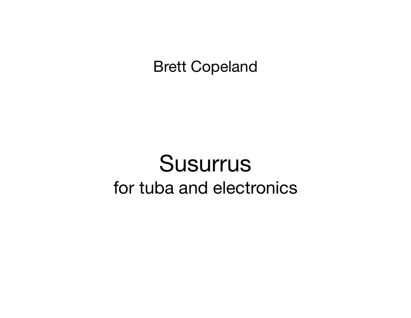## Brett Copeland

## Susurrus for tuba and electronics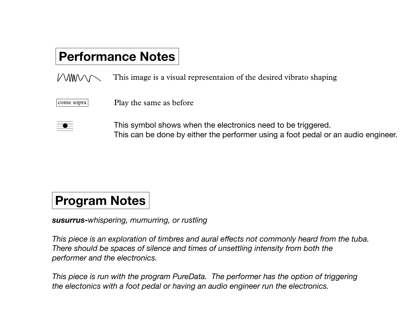## **Performance Notes**

 $M_{M}$ This image is a visual representaion of the desired vibrato shaping

come sopra

Play the same as before

This symbol shows when the electronics need to be triggered. This can be done by either the performer using a foot pedal or an audio engineer.

## **Program Notes**

*susurrus-whispering, mumurring, or rustling*

*This piece is an exploration of timbres and aural effects not commonly heard from the tuba. There should be spaces of silence and times of unsettling intensity from both the performer and the electronics.*

*This piece is run with the program PureData. The performer has the option of triggering the electonics with a foot pedal or having an audio engineer run the electronics.*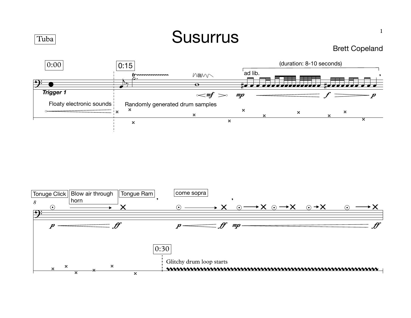

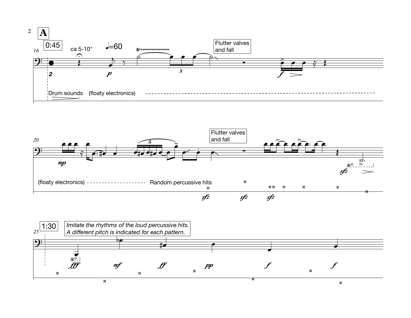



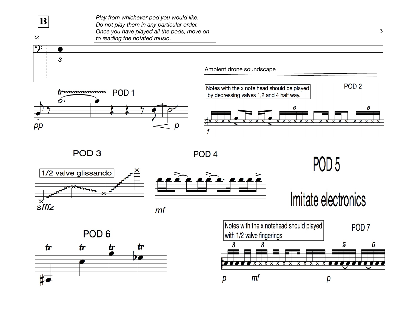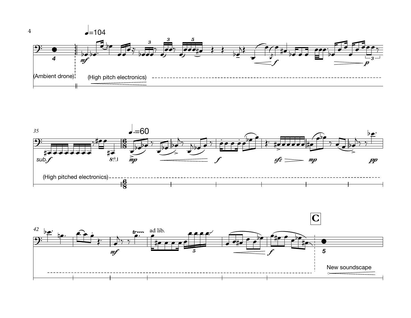